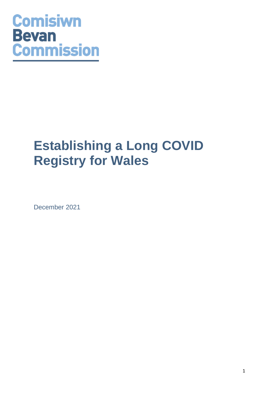# **Comisiwn Bevan Commission**

# **Establishing a Long COVID Registry for Wales**

December 2021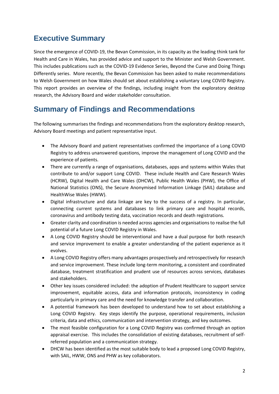# **Executive Summary**

Since the emergence of COVID-19, the Bevan Commission, in its capacity as the leading think tank for Health and Care in Wales, has provided advice and support to the Minister and Welsh Government. This includes publications such as the COVID-19 Evidence Series, Beyond the Curve and Doing Things Differently series. More recently, the Bevan Commission has been asked to make recommendations to Welsh Government on how Wales should set about establishing a voluntary Long COVID Registry. This report provides an overview of the findings, including insight from the exploratory desktop research, the Advisory Board and wider stakeholder consultation.

# **Summary of Findings and Recommendations**

The following summarises the findings and recommendations from the exploratory desktop research, Advisory Board meetings and patient representative input.

- The Advisory Board and patient representatives confirmed the importance of a Long COVID Registry to address unanswered questions, improve the management of Long COVID and the experience of patients.
- There are currently a range of organisations, databases, apps and systems within Wales that contribute to and/or support Long COVID. These include Health and Care Research Wales (HCRW), Digital Health and Care Wales (DHCW), Public Health Wales (PHW), the Office of National Statistics (ONS), the Secure Anonymised Information Linkage (SAIL) database and HealthWise Wales (HWW).
- Digital infrastructure and data linkage are key to the success of a registry. In particular, connecting current systems and databases to link primary care and hospital records, coronavirus and antibody testing data, vaccination records and death registrations.
- Greater clarity and coordination is needed across agencies and organisationsto realise the full potential of a future Long COVID Registry in Wales.
- A Long COVID Registry should be interventional and have a dual purpose for both research and service improvement to enable a greater understanding of the patient experience as it evolves.
- A Long COVID Registry offers many advantages prospectively and retrospectively for research and service improvement. These include long-term monitoring, a consistent and coordinated database, treatment stratification and prudent use of resources across services, databases and stakeholders.
- Other key issues considered included: the adoption of Prudent Healthcare to support service improvement, equitable access, data and information protocols, inconsistency in coding particularly in primary care and the need for knowledge transfer and collaboration.
- A potential framework has been developed to understand how to set about establishing a Long COVID Registry. Key steps identify the purpose, operational requirements, inclusion criteria, data and ethics, communication and intervention strategy, and key outcomes.
- The most feasible configuration for a Long COVID Registry was confirmed through an option appraisal exercise. This includes the consolidation of existing databases, recruitment of selfreferred population and a communication strategy.
- DHCW has been identified as the most suitable body to lead a proposed Long COVID Registry, with SAIL, HWW, ONS and PHW as key collaborators.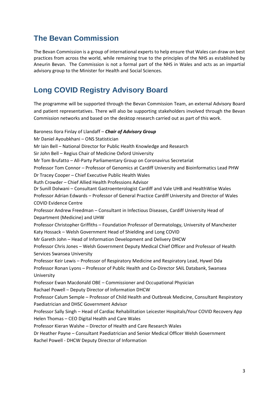# **The Bevan Commission**

The Bevan Commission is a group of international experts to help ensure that Wales can draw on best practices from across the world, while remaining true to the principles of the NHS as established by Aneurin Bevan. The Commission is not a formal part of the NHS in Wales and acts as an impartial advisory group to the Minister for Health and Social Sciences.

# **Long COVID Registry Advisory Board**

The programme will be supported through the Bevan Commission Team, an external Advisory Board and patient representatives. There will also be supporting stakeholders involved through the Bevan Commission networks and based on the desktop research carried out as part of this work.

Baroness Ilora Finlay of Llandaff – *Chair of Advisory Group* Mr Daniel Ayoubkhani – ONS Statistician Mr Iain Bell – National Director for Public Health Knowledge and Research Sir John Bell – Regius Chair of Medicine Oxford University Mr Tom Brufatto – All-Party Parliamentary Group on Coronavirus Secretariat Professor Tom Connor – Professor of Genomics at Cardiff University and Bioinformatics Lead PHW Dr Tracey Cooper – Chief Executive Public Health Wales Ruth Crowder – Chief Allied Health Professions Advisor Dr Sunill Dolwani – Consultant Gastroenterologist Cardiff and Vale UHB and HealthWise Wales Professor Adrian Edwards – Professor of General Practice Cardiff University and Director of Wales COVID Evidence Centre Professor Andrew Freedman – Consultant in Infectious Diseases, Cardiff University Head of Department (Medicine) and UHW Professor Christopher Griffiths – Foundation Professor of Dermatology, University of Manchester Katy Hossack – Welsh Government Head of Shielding and Long COVID Mr Gareth John – Head of Information Development and Delivery DHCW Professor Chris Jones – Welsh Government Deputy Medical Chief Officer and Professor of Health Services Swansea University Professor Keir Lewis – Professor of Respiratory Medicine and Respiratory Lead, Hywel Dda Professor Ronan Lyons – Professor of Public Health and Co-Director SAIL Databank, Swansea University Professor Ewan Macdonald OBE – Commissioner and Occupational Physician Rachael Powell – Deputy Director of Information DHCW Professor Calum Semple – Professor of Child Health and Outbreak Medicine, Consultant Respiratory Paediatrician and DHSC Government Advisor Professor Sally Singh – Head of Cardiac Rehabilitation Leicester Hospitals/Your COVID Recovery App Helen Thomas – CEO Digital Health and Care Wales Professor Kieran Walshe – Director of Health and Care Research Wales Dr Heather Payne – Consultant Paediatrician and Senior Medical Officer Welsh Government Rachel Powell - DHCW Deputy Director of Information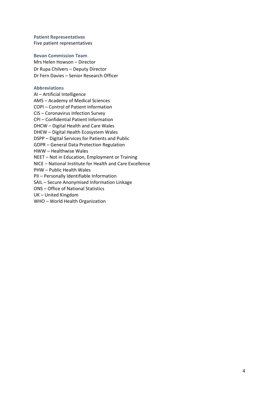**Patient Representatives** Five patient representatives

#### **Bevan Commission Team**

Mrs Helen Howson – Director Dr Rupa Chilvers – Deputy Director Dr Fern Davies – Senior Research Officer

#### **Abbreviations**

AI – Artificial Intelligence AMS – Academy of Medical Sciences COPI – Control of Patient Information CIS – Coronavirus Infection Survey CPI – Confidential Patient Information DHCW – Digital Health and Care Wales DHEW – Digital Health Ecosystem Wales DSPP – Digital Services for Patients and Public GDPR – General Data Protection Regulation HWW – Healthwise Wales NEET – Not in Education, Employment or Training NICE – National Institute for Health and Care Excellence PHW – Public Health Wales PII – Personally Identifiable Information SAIL – Secure Anonymised Information Linkage ONS – Office of National Statistics UK – United Kingdom WHO – World Health Organization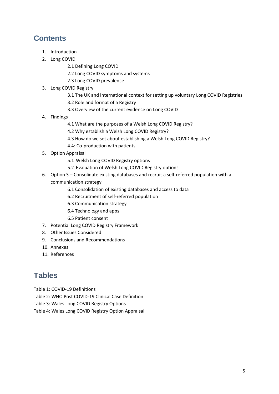# **Contents**

- 1. Introduction
- 2. Long COVID
	- 2.1 Defining Long COVID
	- 2.2 Long COVID symptoms and systems
	- 2.3 Long COVID prevalence
- 3. Long COVID Registry
	- 3.1 The UK and international context for setting up voluntary Long COVID Registries
	- 3.2 Role and format of a Registry
	- 3.3 Overview of the current evidence on Long COVID
- 4. Findings
	- 4.1 What are the purposes of a Welsh Long COVID Registry?
	- 4.2 Why establish a Welsh Long COVID Registry?
	- 4.3 How do we set about establishing a Welsh Long COVID Registry?
	- 4.4: Co-production with patients
- 5. Option Appraisal
	- 5.1 Welsh Long COVID Registry options
	- 5.2 Evaluation of Welsh Long COVID Registry options
- 6. Option 3 Consolidate existing databases and recruit a self-referred population with a communication strategy
	- 6.1 Consolidation of existing databases and access to data
	- 6.2 Recruitment of self-referred population
	- 6.3 Communication strategy
	- 6.4 Technology and apps
	- 6.5 Patient consent
- 7. Potential Long COVID Registry Framework
- 8. Other Issues Considered
- 9. Conclusions and Recommendations
- 10. Annexes
- 11. References

# **Tables**

- Table 1: COVID-19 Definitions
- Table 2: WHO Post COVID-19 Clinical Case Definition
- Table 3: Wales Long COVID Registry Options
- Table 4: Wales Long COVID Registry Option Appraisal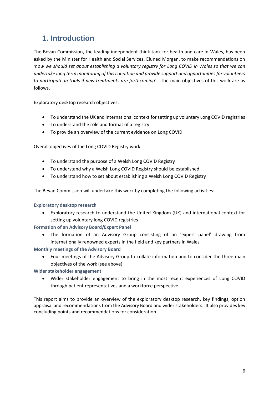# **1. Introduction**

The Bevan Commission, the leading independent think tank for health and care in Wales, has been asked by the Minister for Health and Social Services, Eluned Morgan, to make recommendations on *'how we should set about establishing a voluntary registry for Long COVID in Wales so that we can undertake long term monitoring of this condition and provide support and opportunities for volunteers to participate in trials if new treatments are forthcoming'*. The main objectives of this work are as follows.

Exploratory desktop research objectives:

- To understand the UK and international context for setting up voluntary Long COVID registries
- To understand the role and format of a registry
- To provide an overview of the current evidence on Long COVID

Overall objectives of the Long COVID Registry work:

- To understand the purpose of a Welsh Long COVID Registry
- To understand why a Welsh Long COVID Registry should be established
- To understand how to set about establishing a Welsh Long COVID Registry

The Bevan Commission will undertake this work by completing the following activities:

### **Exploratory desktop research**

• Exploratory research to understand the United Kingdom (UK) and international context for setting up voluntary long COVID registries

**Formation of an Advisory Board/Expert Panel**

• The formation of an Advisory Group consisting of an 'expert panel' drawing from internationally renowned experts in the field and key partners in Wales

**Monthly meetings of the Advisory Board**

• Four meetings of the Advisory Group to collate information and to consider the three main objectives of the work (see above)

**Wider stakeholder engagement**

• Wider stakeholder engagement to bring in the most recent experiences of Long COVID through patient representatives and a workforce perspective

This report aims to provide an overview of the exploratory desktop research, key findings, option appraisal and recommendations from the Advisory Board and wider stakeholders. It also provides key concluding points and recommendations for consideration.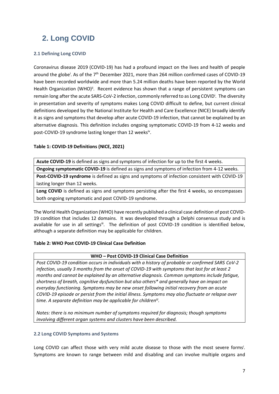# **2. Long COVID**

# **2.1 Defining Long COVID**

<span id="page-6-0"></span>Coronavirus disease 2019 (COVID-19) has had a profound impact on the lives and health of people around the globe<sup>i</sup>. As of the 7<sup>th</sup> December 2021, more than 264 million confirmed cases of COVID-19 have been recorded worldwide and more than 5.24 million deaths have been reported by the World Health Organization (WHO)<sup>ii</sup>. Recent evidence has shown that a range of persistent symptoms can remain long after the acute SARS-CoV-2 infection, commonly referred to as Long COVID<sup>i</sup>[.](#page-6-0) The diversity in presentation and severity of symptoms makes Long COVID difficult to define, but current clinical definitions developed by the National Institute for Health and Care Excellence (NICE) broadly identify it as signs and symptoms that develop after acute COVID-19 infection, that cannot be explained by an alternative diagnosis. This definition includes ongoing symptomatic COVID-19 from 4-12 weeks and post-COVID-19 syndrome lasting longer than 12 weeks<sup>[iv](#page-7-0)</sup>.

# **Table 1: COVID-19 Definitions (NICE, 2021)**

**Acute COVID-19** is defined as signs and symptoms of infection for up to the first 4 weeks. **Ongoing symptomatic COVID-19** is defined as signs and symptoms of infection from 4-12 weeks. **Post-COVID-19 syndrome** is defined as signs and symptoms of infection consistent with COVID-19 lasting longer than 12 weeks.

Long COVID is defined as signs and symptoms persisting after the first 4 weeks, so encompasses both ongoing symptomatic and post COVID-19 syndrome.

The World Health Organization (WHO) have recently published a clinical case definition of post COVID-19 condition that includes 12 domains. It was developed through a Delphi consensus study and is available for use in all settings<sup>ii</sup>. The definition of post COVID-19 condition is identified below, although a separate definition may be applicable for children.

# **Table 2: WHO Post COVID-19 Clinical Case Definition**

# **WHO – Post COVID-19 Clinical Case Definition**

*Post COVID-19 condition occurs in individuals with a history of probable or confirmed SARS CoV-2 infection, usually 3 months from the onset of COVID-19 with symptoms that last for at least 2 months and cannot be explained by an alternative diagnosis. Common symptoms include fatigue, shortness of breath, cognitive dysfunction but also others\* and generally have an impact on everyday functioning. Symptoms may be new onset following initial recovery from an acute COVID-19 episode or persist from the initial illness. Symptoms may also fluctuate or relapse over time. A separate definition may be applicable for childreniii .*

*Notes: there is no minimum number of symptoms required for diagnosis; though symptoms involving different organ systems and clusters have been described.*

# **2.2 Long COVID Symptoms and Systems**

Long COVID can affect those with very mild acute disease to those with the most severe forms<sup>i</sup>[.](#page-6-0) Symptoms are known to range between mild and disabling and can involve multiple organs and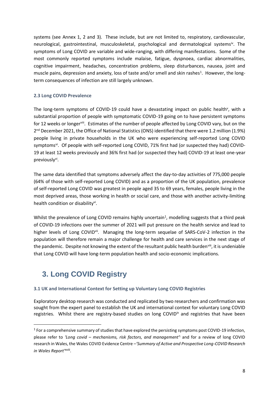<span id="page-7-0"></span>systems (see Annex 1, 2 and 3). These include, but are not limited to, respiratory, cardiovascular, neurological, gastrointestinal, musculoskeletal, psychological and dermatological systems<sup>iv</sup>. The symptoms of Long COVID are variable and wide-ranging, with differing manifestations. Some of the most commonly reported symptoms include malaise, fatigue, dyspnoea, cardiac abnormalities, cognitive impairment, headaches, concentration problems, sleep disturbances, nausea, joint and muscle pains, depression and anxiety, loss of taste and/or smell and skin rashes<sup>1</sup>. However, the longterm consequences of infection are still largely unknown.

# **2.3 Long COVID Prevalence**

The long-term symptoms of COVID-19 could have a devastating impact on public health<sup>v</sup>, with a substantial proportion of people with symptomatic COVID-19 going on to have persistent symptoms for 12 weeks or longer<sup>[viii](#page-7-1)</sup>. Estimates of the number of people affected by Long COVID vary, but on the 2<sup>nd</sup> December 2021, the Office of National Statistics (ONS) identified that there were 1.2 million (1.9%) people living in private households in the UK who were experiencing self-reported Long COVID symptoms<sup>vi</sup>. Of people with self-reported Long COVID, 71% first had (or suspected they had) COVID-19 at least 12 weeks previously and 36% first had (or suspected they had) COVID-19 at least one-year pre[vi](#page-7-2)ously<sup>vi</sup>.

<span id="page-7-2"></span>The same data identified that symptoms adversely affect the day-to-day activities of 775,000 people (64% of those with self-reported Long COVID) and as a proportion of the UK population, prevalence of self-reported Long COVID was greatest in people aged 35 to 69 years, females, people living in the most deprived areas, those working in health or social care, and those with another activity-limiting health condition or disability<sup>[vi](#page-7-2)</sup>.

Whilst the prevalence of Long COVID remains highly uncertain<sup>1</sup>, modelling suggests that a third peak of COVID-19 infections over the summer of 2021 will put pressure on the health service and lead to higher levels of Long COVID<sup>vii</sup>. Managing the long-term sequelae of SARS-CoV-2 infection in the population will therefore remain a major challenge for health and care services in the next stage of the pandemic. Despite not knowing the extent of the resultant public health burden<sup>viii</sup>, it is undeniable that Long COVID will have long-term population health and socio-economic implications.

# <span id="page-7-1"></span>**3. Long COVID Registry**

# **3.1 UK and International Context for Setting up Voluntary Long COVID Registries**

Exploratory desktop research was conducted and replicated by two researchers and confirmation was sought from the expert panel to establish the UK and international context for voluntary Long COVID registries. Whilst there are registry-based studies on long COVID<sup>IX</sup> and registries that have been

<sup>&</sup>lt;sup>1</sup> For a comprehensive summary of studies that have explored the persisting symptoms post COVID-19 infection, please refer to *'Long covid – mechanisms, risk factors, and management['](#page-6-0)*<sup>i</sup> and for a review of long COVID research in Wales, the Wales COVID Evidence Centre *–'Summary of Active and Prospective Long-COVID Research in Wales Report'*[xviii](#page-22-0) .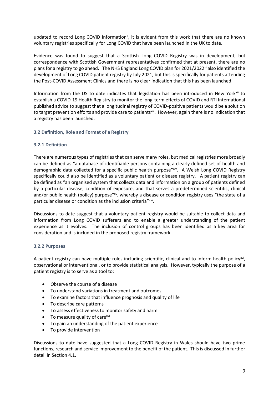updated to record Long COVID information<sup>x</sup>, it is evident from this work that there are no known voluntary registries specifically for Long COVID that have been launched in the UK to date.

Evidence was found to suggest that a Scottish Long COVID Registry was in development, but correspondence with Scottish Government representatives confirmed that at present, there are no plans for a registry to go ahead. The NHS England Long COVID plan for 2021/2022<sup>xi</sup> also identified the development of Long COVID patient registry by July 2021, but this is specifically for patients attending the Post-COVID Assessment Clinics and there is no clear indication that this has been launched.

Information from the US to date indicates that legislation has been introduced in New York<sup>xii</sup> to establish a COVID-19 Health Registry to monitor the long-term effects of COVID and RTI International published advice to suggest that a longitudinal registry of COVID-positive patients would be a solution to target prevention efforts and provide care to patients<sup>xiii</sup>. However, again there is no indication that a registry has been launched.

### **3.2 Definition, Role and Format of a Registry**

### **3.2.1 Definition**

There are numerous types of registries that can serve many roles, but medical registries more broadly can be defined as "a database of identifiable persons containing a clearly defined set of health and demographic data collected for a specific public health purpose"xiv. A Welsh Long COVID Registry specifically could also be identified as a voluntary patient or disease registry. A patient registry can be defined as "an organised system that collects data and information on a group of patients defined by a particular disease, condition of exposure, and that serves a predetermined scientific, clinical and/or public health (policy) purpose"x", whereby a disease or condition registry uses "the state of a particular disease or condition as the inclusion criteria"xvi.

<span id="page-8-0"></span>Discussions to date suggest that a voluntary patient registry would be suitable to collect data and information from Long COVID sufferers and to enable a greater understanding of the patient experience as it evolves. The inclusion of control groups has been identified as a key area for consideration and is included in the proposed registry framework.

### **3.2.2 Purposes**

A patient registry can have multiple roles including scientific, clinical and to inform health policy<sup>[xvi](#page-8-0)</sup>, observational or interventional, or to provide statistical analysis. However, typically the purpose of a patient registry is to serve as a tool to:

- Observe the course of a disease
- To understand variations in treatment and outcomes
- To examine factors that influence prognosis and quality of life
- To describe care patterns
- To assess effectiveness to monitor safety and harm
- To measure quality of care<sup>[xvi](#page-8-0)</sup>
- To gain an understanding of the patient experience
- To provide intervention

Discussions to date have suggested that a Long COVID Registry in Wales should have two prime functions, research and service improvement to the benefit of the patient. This is discussed in further detail in Section 4.1.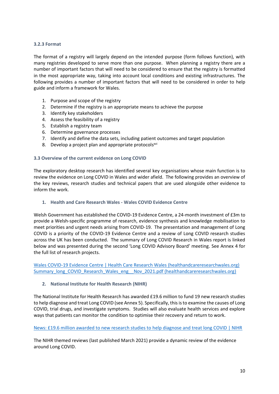## **3.2.3 Format**

The format of a registry will largely depend on the intended purpose (form follows function), with many registries developed to serve more than one purpose. When planning a registry there are a number of important factors that will need to be considered to ensure that the registry is formatted in the most appropriate way, taking into account local conditions and existing infrastructures. The following provides a number of important factors that will need to be considered in order to help guide and inform a framework for Wales.

- 1. Purpose and scope of the registry
- 2. Determine if the registry is an appropriate means to achieve the purpose
- 3. Identify key stakeholders
- 4. Assess the feasibility of a registry
- 5. Establish a registry team
- 6. Determine governance processes
- 7. Identify and define the data sets, including patient outcomes and target population
- 8. Develop a project plan and appropriate protocols<sup>[xvi](#page-8-0)</sup>

### **3.3 Overview of the current evidence on Long COVID**

The exploratory desktop research has identified several key organisations whose main function is to review the evidence on Long COVID in Wales and wider afield. The following provides an overview of the key reviews, research studies and technical papers that are used alongside other evidence to inform the work.

### **1. Health and Care Research Wales - Wales COVID Evidence Centre**

Welsh Government has established the COVID-19 Evidence Centre, a 24-month investment of £3m to provide a Welsh-specific programme of research, evidence synthesis and knowledge mobilisation to meet priorities and urgent needs arising from COVID-19. The presentation and management of Long COVID is a priority of the COVID-19 Evidence Centre and a review of Long COVID research studies across the UK has been conducted. The summary of Long COVID Research in Wales report is linked below and was presented during the second 'Long COVID Advisory Board' meeting. See Annex 4 for the full list of research projects.

[Wales COVID-19 Evidence Centre | Health Care Research Wales \(healthandcareresearchwales.org\)](https://healthandcareresearchwales.org/about-research-community/wales-covid-19-evidence-centre) Summary long COVID Research Wales eng Nov 2021.pdf (healthandcareresearchwales.org)

### **2. National Institute for Health Research (NIHR)**

The National Institute for Health Research has awarded £19.6 million to fund 19 new research studies to help diagnose and treat Long COVID (see Annex 5). Specifically, this is to examine the causes of Long COVID, trial drugs, and investigate symptoms. Studies will also evaluate health services and explore ways that patients can monitor the condition to optimise their recovery and return to work.

[News: £19.6 million awarded to new research studies to help diagnose and treat long COVID | NIHR](https://www.nihr.ac.uk/news/196-million-awarded-to-new-research-studies-to-help-diagnose-and-treat-long-covid/28205)

The NIHR themed reviews (last published March 2021) provide a dynamic review of the evidence around Long COVID.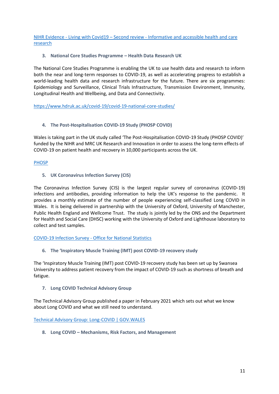NIHR Evidence - Living with Covid19 – Second review - [Informative and accessible health and care](https://evidence.nihr.ac.uk/themedreview/living-with-covid19-second-review/)  [research](https://evidence.nihr.ac.uk/themedreview/living-with-covid19-second-review/)

## **3. National Core Studies Programme – Health Data Research UK**

The National Core Studies Programme is enabling the UK to use health data and research to inform both the near and long-term responses to COVID-19, as well as accelerating progress to establish a world-leading health data and research infrastructure for the future. There are six programmes: Epidemiology and Surveillance, Clinical Trials Infrastructure, Transmission Environment, Immunity, Longitudinal Health and Wellbeing, and Data and Connectivity.

[https://www.hdruk.ac.uk/covid-19/covid-19-national-core-studies/](https://eur03.safelinks.protection.outlook.com/?url=https%3A%2F%2Fwww.hdruk.ac.uk%2Fcovid-19%2Fcovid-19-national-core-studies%2F&data=04%7C01%7CF.B.Davies%40Swansea.ac.uk%7C83b7d5b40c6b4f03c59408d979de32d7%7Cbbcab52e9fbe43d6a2f39f66c43df268%7C0%7C0%7C637674817504815552%7CUnknown%7CTWFpbGZsb3d8eyJWIjoiMC4wLjAwMDAiLCJQIjoiV2luMzIiLCJBTiI6Ik1haWwiLCJXVCI6Mn0%3D%7C1000&sdata=YEfQNKkNJeD16phkOAFXUIHAKxexurcBncgEMPZKXfM%3D&reserved=0)

## **4. The Post-Hospitalisation COVID-19 Study (PHOSP COVID)**

Wales is taking part in the UK study called 'The Post-Hospitalisation COVID-19 Study (PHOSP COVID)' funded by the NIHR and MRC UK Research and Innovation in order to assess the long-term effects of COVID-19 on patient health and recovery in 10,000 participants across the UK.

## [PHOSP](https://www.phosp.org/)

**5. UK Coronavirus Infection Survey (CIS)**

The Coronavirus Infection Survey (CIS) is the largest regular survey of coronavirus (COVID-19) infections and antibodies, providing information to help the UK's response to the pandemic. It provides a monthly estimate of the number of people experiencing self-classified Long COVID in Wales. It is being delivered in partnership with the University of Oxford, University of Manchester, Public Health England and Wellcome Trust. The study is jointly led by the ONS and the Department for Health and Social Care (DHSC) working with the University of Oxford and Lighthouse laboratory to collect and test samples.

### COVID-19 Infection Survey - [Office for National Statistics](https://www.ons.gov.uk/surveys/informationforhouseholdsandindividuals/householdandindividualsurveys/covid19infectionsurvey)

**6. The 'Inspiratory Muscle Training (IMT) post COVID-19 recovery study**

The 'Inspiratory Muscle Training (IMT) post COVID-19 recovery study has been set up by Swansea University to address patient recovery from the impact of COVID-19 such as shortness of breath and fatigue.

### **7. Long COVID Technical Advisory Group**

The Technical Advisory Group published a paper in February 2021 which sets out what we know about Long COVID and what we still need to understand.

[Technical Advisory Group: Long-COVID | GOV.WALES](https://gov.wales/technical-advisory-group-long-covid)

**8. Long COVID – Mechanisms, Risk Factors, and Management**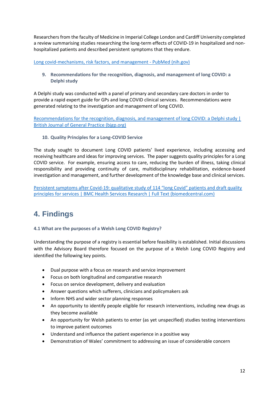Researchers from the faculty of Medicine in Imperial College London and Cardiff University completed a review summarising studies researching the long-term effects of COVID-19 in hospitalized and nonhospitalized patients and described persistent symptoms that they endure.

[Long covid-mechanisms, risk factors, and management -](https://pubmed.ncbi.nlm.nih.gov/34312178/) PubMed (nih.gov)

**9. Recommendations for the recognition, diagnosis, and management of long COVID: a Delphi study**

A Delphi study was conducted with a panel of primary and secondary care doctors in order to provide a rapid expert guide for GPs and long COVID clinical services. Recommendations were generated relating to the investigation and management of long COVID.

[Recommendations for the recognition, diagnosis, and management of long COVID: a Delphi study |](https://bjgp.org/content/early/2021/10/04/BJGP.2021.0265)  [British Journal of General Practice \(bjgp.org\)](https://bjgp.org/content/early/2021/10/04/BJGP.2021.0265)

**10. Quality Principles for a Long-COVID Service**

The study sought to document Long COVID patients' lived experience, including accessing and receiving healthcare and ideas for improving services. The paper suggests quality principles for a Long COVID service. For example, ensuring access to care, reducing the burden of illness, taking clinical responsibility and providing continuity of care, multidisciplinary rehabilitation, evidence-based investigation and management, and further development of the knowledge base and clinical services.

Persistent symptoms after Covid-[19: qualitative study of 114 "long Covid" patients and draft quality](https://bmchealthservres.biomedcentral.com/articles/10.1186/s12913-020-06001-y)  [principles for services | BMC Health Services Research | Full Text \(biomedcentral.com\)](https://bmchealthservres.biomedcentral.com/articles/10.1186/s12913-020-06001-y)

# **4. Findings**

**4.1 What are the purposes of a Welsh Long COVID Registry?**

Understanding the purpose of a registry is essential before feasibility is established. Initial discussions with the Advisory Board therefore focused on the purpose of a Welsh Long COVID Registry and identified the following key points.

- Dual purpose with a focus on research and service improvement
- Focus on both longitudinal and comparative research
- Focus on service development, delivery and evaluation
- Answer questions which sufferers, clinicians and policymakers ask
- Inform NHS and wider sector planning responses
- An opportunity to identify people eligible for research interventions, including new drugs as they become available
- An opportunity for Welsh patients to enter (as yet unspecified) studies testing interventions to improve patient outcomes
- Understand and influence the patient experience in a positive way
- Demonstration of Wales' commitment to addressing an issue of considerable concern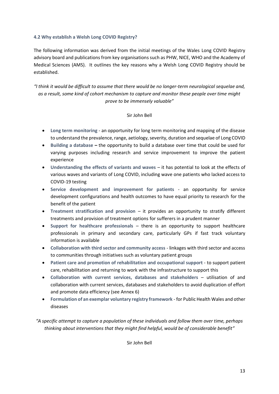# **4.2 Why establish a Welsh Long COVID Registry?**

The following information was derived from the initial meetings of the Wales Long COVID Registry advisory board and publications from key organisations such as PHW, NICE, WHO and the Academy of Medical Sciences (AMS). It outlines the key reasons why a Welsh Long COVID Registry should be established.

*"I think it would be difficult to assume that there would be no longer-term neurological sequelae and, as a result, some kind of cohort mechanism to capture and monitor these people over time might prove to be immensely valuable"*

## Sir John Bell

- **Long term monitoring** an opportunity for long term monitoring and mapping of the disease to understand the prevalence, range, aetiology, severity, duration and sequelae of Long COVID
- **Building a database –** the opportunity to build a database over time that could be used for varying purposes including research and service improvement to improve the patient experience
- **Understanding the effects of variants and waves** it has potential to look at the effects of various waves and variants of Long COVID, including wave one patients who lacked access to COVID-19 testing
- **Service development and improvement for patients** an opportunity for service development configurations and health outcomes to have equal priority to research for the benefit of the patient
- **Treatment stratification and provision**  it provides an opportunity to stratify different treatments and provision of treatment options for sufferers in a prudent manner
- **Support for healthcare professionals** there is an opportunity to support healthcare professionals in primary and secondary care, particularly GPs if fast track voluntary information is available
- **Collaboration with third sector and community access** linkages with third sector and access to communities through initiatives such as voluntary patient groups
- **Patient care and promotion of rehabilitation and occupational support** to support patient care, rehabilitation and returning to work with the infrastructure to support this
- **Collaboration with current services, databases and stakeholders** utilisation of and collaboration with current services, databases and stakeholders to avoid duplication of effort and promote data efficiency (see Annex 6)
- **Formulation of an exemplar voluntary registry framework** for Public Health Wales and other diseases

*"A specific attempt to capture a population of these individuals and follow them over time, perhaps thinking about interventions that they might find helpful, would be of considerable benefit"*

Sir John Bell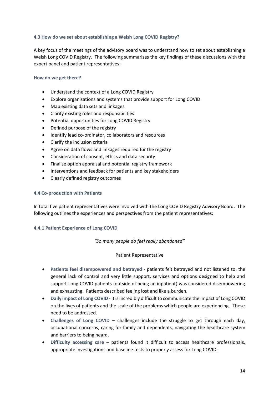### **4.3 How do we set about establishing a Welsh Long COVID Registry?**

A key focus of the meetings of the advisory board was to understand how to set about establishing a Welsh Long COVID Registry. The following summarises the key findings of these discussions with the expert panel and patient representatives:

## **How do we get there?**

- Understand the context of a Long COVID Registry
- Explore organisations and systems that provide support for Long COVID
- Map existing data sets and linkages
- Clarify existing roles and responsibilities
- Potential opportunities for Long COVID Registry
- Defined purpose of the registry
- Identify lead co-ordinator, collaborators and resources
- Clarify the inclusion criteria
- Agree on data flows and linkages required for the registry
- Consideration of consent, ethics and data security
- Finalise option appraisal and potential registry framework
- Interventions and feedback for patients and key stakeholders
- Clearly defined registry outcomes

#### **4.4 Co-production with Patients**

In total five patient representatives were involved with the Long COVID Registry Advisory Board. The following outlines the experiences and perspectives from the patient representatives:

### **4.4.1 Patient Experience of Long COVID**

*"So many people do feel really abandoned"* 

### Patient Representative

- **Patients feel disempowered and betrayed** patients felt betrayed and not listened to, the general lack of control and very little support, services and options designed to help and support Long COVID patients (outside of being an inpatient) was considered disempowering and exhausting. Patients described feeling lost and like a burden.
- **Daily impact of Long COVID**  it is incredibly difficult to communicate the impact of Long COVID on the lives of patients and the scale of the problems which people are experiencing. These need to be addressed.
- **Challenges of Long COVID**  challenges include the struggle to get through each day, occupational concerns, caring for family and dependents, navigating the healthcare system and barriers to being heard.
- **Difficulty accessing care** patients found it difficult to access healthcare professionals, appropriate investigations and baseline tests to properly assess for Long COVID.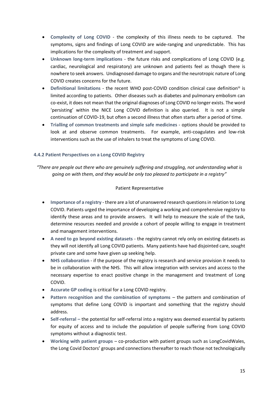- **Complexity of Long COVID** the complexity of this illness needs to be captured. The symptoms, signs and findings of Long COVID are wide-ranging and unpredictable. This has implications for the complexity of treatment and support.
- **Unknown long-term implications** the future risks and complications of Long COVID (e.g. cardiac, neurological and respiratory) are unknown and patients feel as though there is nowhere to seek answers. Undiagnosed damage to organs and the neurotropic nature of Long COVID creates concerns for the future.
- **Definitional limitations**  the recent WHO post-COVID condition clinical case definitioniii is limited according to patients. Other diseases such as diabetes and pulmonary embolism can co-exist, it does not mean that the original diagnoses of Long COVID no longer exists. The word 'persisting' within the NICE Long COVID definition is also queried. It is not a simple continuation of COVID-19, but often a second illness that often starts after a period of time.
- **Trialling of common treatments and simple safe medicines** options should be provided to look at and observe common treatments. For example, anti-coagulates and low-risk interventions such as the use of inhalers to treat the symptoms of Long COVID.

# **4.4.2 Patient Perspectives on a Long COVID Registry**

*"There are people out there who are genuinely suffering and struggling, not understanding what is going on with them, and they would be only too pleased to participate in a registry"*

### Patient Representative

- **Importance of a registry** there are a lot of unanswered research questions in relation to Long COVID. Patients urged the importance of developing a working and comprehensive registry to identify these areas and to provide answers. It will help to measure the scale of the task, determine resources needed and provide a cohort of people willing to engage in treatment and management interventions.
- **A need to go beyond existing datasets** the registry cannot rely only on existing datasets as they will not identify all Long COVID patients. Many patients have had disjointed care, sought private care and some have given up seeking help.
- **NHS collaboration** if the purpose of the registry is research and service provision it needs to be in collaboration with the NHS. This will allow integration with services and access to the necessary expertise to enact positive change in the management and treatment of Long COVID.
- **Accurate GP coding** is critical for a Long COVID registry.
- **Pattern recognition and the combination of symptoms** the pattern and combination of symptoms that define Long COVID is important and something that the registry should address.
- **Self-referral –** the potential for self-referral into a registry was deemed essential by patients for equity of access and to include the population of people suffering from Long COVID symptoms without a diagnostic test.
- **Working with patient groups** co-production with patient groups such as LongCovidWales, the Long Covid Doctors' groups and connections thereafter to reach those not technologically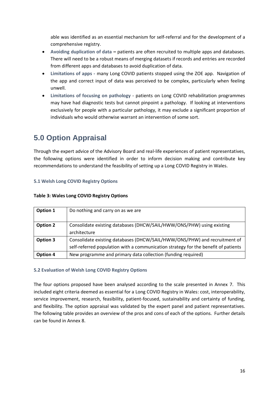able was identified as an essential mechanism for self-referral and for the development of a comprehensive registry.

- **Avoiding duplication of data –** patients are often recruited to multiple apps and databases. There will need to be a robust means of merging datasets if records and entries are recorded from different apps and databases to avoid duplication of data.
- **Limitations of apps -** many Long COVID patients stopped using the ZOE app. Navigation of the app and correct input of data was perceived to be complex, particularly when feeling unwell.
- **Limitations of focusing on pathology** patients on Long COVID rehabilitation programmes may have had diagnostic tests but cannot pinpoint a pathology. If looking at interventions exclusively for people with a particular pathology, it may exclude a significant proportion of individuals who would otherwise warrant an intervention of some sort.

# **5.0 Option Appraisal**

Through the expert advice of the Advisory Board and real-life experiences of patient representatives, the following options were identified in order to inform decision making and contribute key recommendations to understand the feasibility of setting up a Long COVID Registry in Wales.

# **5.1 Welsh Long COVID Registry Options**

# **Table 3: Wales Long COVID Registry Options**

| Option 1        | Do nothing and carry on as we are                                                                                                                               |
|-----------------|-----------------------------------------------------------------------------------------------------------------------------------------------------------------|
| <b>Option 2</b> | Consolidate existing databases (DHCW/SAIL/HWW/ONS/PHW) using existing<br>architecture                                                                           |
| Option 3        | Consolidate existing databases (DHCW/SAIL/HWW/ONS/PHW) and recruitment of<br>self-referred population with a communication strategy for the benefit of patients |
| Option 4        | New programme and primary data collection (funding required)                                                                                                    |

# **5.2 Evaluation of Welsh Long COVID Registry Options**

The four options proposed have been analysed according to the scale presented in Annex 7. This included eight criteria deemed as essential for a Long COVID Registry in Wales: cost, interoperability, service improvement, research, feasibility, patient-focused, sustainability and certainty of funding, and flexibility. The option appraisal was validated by the expert panel and patient representatives. The following table provides an overview of the pros and cons of each of the options. Further details can be found in Annex 8.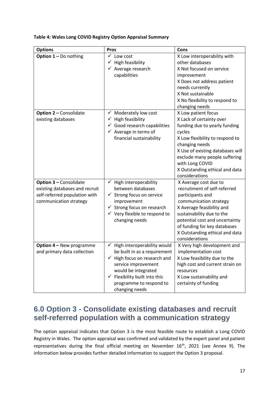**Table 4: Wales Long COVID Registry Option Appraisal Summary**

| <b>Options</b>                                                                                                             | <b>Pros</b>                                                                                                                                                                                                                                   | Cons                                                                                                                                                                                                                                                                                        |
|----------------------------------------------------------------------------------------------------------------------------|-----------------------------------------------------------------------------------------------------------------------------------------------------------------------------------------------------------------------------------------------|---------------------------------------------------------------------------------------------------------------------------------------------------------------------------------------------------------------------------------------------------------------------------------------------|
| <b>Option <math>1 - Do</math></b> nothing                                                                                  | $\checkmark$ Low cost<br>High feasibility<br>✓<br>$\checkmark$ Average research<br>capabilities                                                                                                                                               | X Low interoperability with<br>other databases<br>X Not focused on service<br>improvement<br>X Does not address patient<br>needs currently<br>X Not sustainable<br>X No flexibility to respond to<br>changing needs                                                                         |
| <b>Option 2 - Consolidate</b><br>existing databases                                                                        | Moderately low cost<br>✓<br>$\checkmark$ High feasibility<br>$\checkmark$ Good research capabilities<br>$\checkmark$ Average in terms of<br>financial sustainability                                                                          | X Low patient focus<br>X Lack of certainty over<br>funding due to yearly funding<br>cycles<br>X Low flexibility to respond to<br>changing needs<br>X Use of existing databases will<br>exclude many people suffering<br>with Long COVID<br>X Outstanding ethical and data<br>considerations |
| <b>Option 3 - Consolidate</b><br>existing databases and recruit<br>self-referred population with<br>communication strategy | $\checkmark$ High interoperability<br>between databases<br>Strong focus on service<br>✓<br>improvement<br>$\checkmark$ Strong focus on research<br>$\checkmark$ Very flexible to respond to<br>changing needs                                 | X Average cost due to<br>recruitment of self-referred<br>participants and<br>communication strategy<br>X Average feasibility and<br>sustainability due to the<br>potential cost and uncertainty<br>of funding for key databases<br>X Outstanding ethical and data<br>considerations         |
| Option 4 - New programme<br>and primary data collection                                                                    | High interoperability would<br>be built in as a requirement<br>$\checkmark$ High focus on research and<br>service improvement<br>would be integrated<br>$\checkmark$ Flexibility built into this<br>programme to respond to<br>changing needs | X Very high development and<br>implementation cost<br>X Low feasibility due to the<br>high cost and current strain on<br>resources<br>X Low sustainability and<br>certainty of funding                                                                                                      |

# **6.0 Option 3 - Consolidate existing databases and recruit self-referred population with a communication strategy**

The option appraisal indicates that Option 3 is the most feasible route to establish a Long COVID Registry in Wales. The option appraisal was confirmed and validated by the expert panel and patient representatives during the final official meeting on November 16<sup>th</sup>, 2021 (see Annex 9). The information below provides further detailed information to support the Option 3 proposal.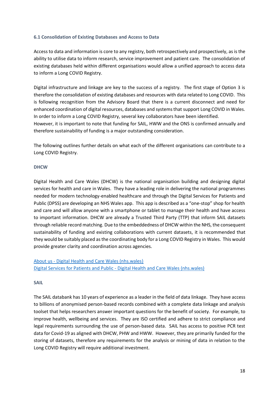## **6.1 Consolidation of Existing Databases and Access to Data**

Access to data and information is core to any registry, both retrospectively and prospectively, as is the ability to utilise data to inform research, service improvement and patient care. The consolidation of existing databases held within different organisations would allow a unified approach to access data to inform a Long COVID Registry.

Digital infrastructure and linkage are key to the success of a registry. The first stage of Option 3 is therefore the consolidation of existing databases and resources with data related to Long COVID. This is following recognition from the Advisory Board that there is a current disconnect and need for enhanced coordination of digital resources, databases and systems that support Long COVID in Wales. In order to inform a Long COVID Registry, several key collaborators have been identified. However, it is important to note that funding for SAIL, HWW and the ONS is confirmed annually and therefore sustainability of funding is a major outstanding consideration.

The following outlines further details on what each of the different organisations can contribute to a Long COVID Registry.

## **DHCW**

Digital Health and Care Wales (DHCW) is the national organisation building and designing digital services for health and care in Wales. They have a leading role in delivering the national programmes needed for modern technology-enabled healthcare and through the Digital Services for Patients and Public (DPSS) are developing an NHS Wales app. This app is described as a "one-stop" shop for health and care and will allow anyone with a smartphone or tablet to manage their health and have access to important information. DHCW are already a Trusted Third Party (TTP) that inform SAIL datasets through reliable record matching. Due to the embeddedness of DHCW within the NHS, the consequent sustainability of funding and existing collaborations with current datasets, it is recommended that they would be suitably placed as the coordinating body for a Long COVID Registry in Wales. This would provide greater clarity and coordination across agencies.

About us - [Digital Health and Care Wales \(nhs.wales\)](https://dhcw.nhs.wales/about-us/) Digital Services for Patients and Public - [Digital Health and Care Wales \(nhs.wales\)](https://nwis.nhs.wales/systems-and-services/for-patients-and-citizens-of-wales/digital-services-for-patients-and-public/)

### **SAIL**

The SAIL databank has 10 years of experience as a leader in the field of data linkage. They have access to billions of anonymised person-based records combined with a complete data linkage and analysis toolset that helps researchers answer important questions for the benefit of society. For example, to improve health, wellbeing and services. They are ISO certified and adhere to strict compliance and legal requirements surrounding the use of person-based data. SAIL has access to positive PCR test data for Covid-19 as aligned with DHCW, PHW and HWW. However, they are primarily funded for the storing of datasets, therefore any requirements for the analysis or mining of data in relation to the Long COVID Registry will require additional investment.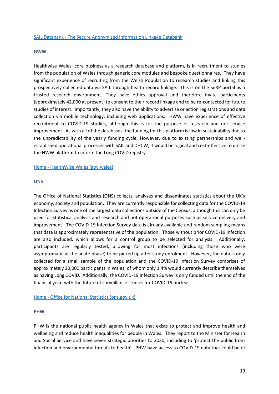#### **HWW**

Healthwise Wales' core business as a research database and platform, is in recruitment to studies from the population of Wales through generic core modules and bespoke questionnaires. They have significant experience of recruiting from the Welsh Population to research studies and linking this prospectively collected data via SAIL through health record linkage. This is on the SeRP portal as a trusted research environment. They have ethics approval and therefore invite participants (approximately 42,000 at present) to consent to their record linkage and to be re-contacted for future studies of interest. Importantly, they also have the ability to advertise or action registrations and data collection via mobile technology, including web applications. HWW have experience of effective recruitment to COVID-19 studies, although this is for the purpose of research and not service improvement. As with all of the databases, the funding for this platform is low in sustainability due to the unpredictability of the yearly funding cycle. However, due to existing partnerships and wellestablished operational processes with SAIL and DHCW, it would be logical and cost-effective to utilise the HWW platform to inform the Long COVID registry.

#### Home - [HealthWise Wales \(gov.wales\)](https://www.healthwisewales.gov.wales/)

#### **ONS**

The Office of National Statistics (ONS) collects, analyses and disseminates statistics about the UK's economy, society and population. They are currently responsible for collecting data for the COVID-19 Infection Survey as one of the largest data collections outside of the Census, although this can only be used for statistical analysis and research and not operational purposes such as service delivery and improvement. The COVID-19 Infection Survey data is already available and random sampling means that data is approximately representative of the population. Those without prior COVID-19 infection are also included, which allows for a control group to be selected for analysis. Additionally, participants are regularly tested, allowing for most infections (including those who were asymptomatic at the acute phase) to be picked up after study enrolment. However, the data is only collected for a small sample of the population and the COVID-19 Infection Survey comprises of approximately 20,000 participants in Wales, of whom only 1.4% would currently describe themselves as having Long COVID. Additionally, the COVID-19 Infection Survey is only funded until the end of the financial year, with the future of surveillance studies for COVID-19 unclear.

#### Home - [Office for National Statistics \(ons.gov.uk\)](https://www.ons.gov.uk/)

#### **PHW**

PHW is the national public health agency in Wales that exists to protect and improve health and wellbeing and reduce health inequalities for people in Wales. They report to the Minister for Health and Social Service and have seven strategic priorities to 2030, including to 'protect the public from infection and environmental threats to health'. PHW have access to COVID-19 data that could be of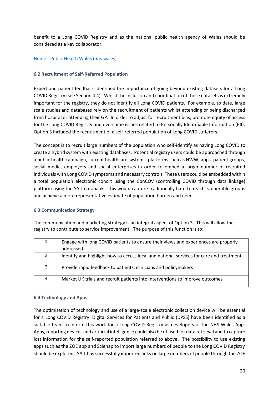benefit to a Long COVID Registry and as the national public health agency of Wales should be considered as a key collaborator.

# Home - [Public Health Wales \(nhs.wales\)](https://phw.nhs.wales/)

# **6.2 Recruitment of Self-Referred Population**

Expert and patient feedback identified the importance of going beyond existing datasets for a Long COVID Registry (see Section 4.4). Whilst the inclusion and coordination of these datasets is extremely important for the registry, they do not identify all Long COVID patients. For example, to date, large scale studies and databases rely on the recruitment of patients whilst attending or being discharged from hospital or attending their GP. In order to adjust for recruitment bias, promote equity of access for the Long COVID Registry and overcome issues related to Personally Identifiable Information (PII), Option 3 included the recruitment of a self-referred population of Long COVID sufferers.

The concept is to recruit large numbers of the population who self-identify as having Long COVID to create a hybrid system with existing databases. Potential registry users could be approached through a public health campaign, current healthcare systems, platforms such as HWW, apps, patient groups, social media, employers and social enterprises in order to embed a larger number of recruited individuals with Long COVID symptoms and necessary controls. These users could be embedded within a total population electronic cohort using the ConCOV (controlling COVID through data linkage) platform using the SAIL databank. This would capture traditionally hard to reach, vulnerable groups and achieve a more representative estimate of population burden and need.

### **6.3 Communication Strategy**

The communication and marketing strategy is an integral aspect of Option 3. This will allow the registry to contribute to service improvement. The purpose of this function is to:

| 1. | Engage with long COVID patients to ensure their views and experiences are properly      |
|----|-----------------------------------------------------------------------------------------|
|    | addressed                                                                               |
| 2. | Identify and highlight how to access local and national services for care and treatment |
| 3. | Provide rapid feedback to patients, clinicians and policymakers                         |
| 4. | Market UK trials and recruit patients into interventions to improve outcomes            |

### **6.4 Technology and Apps**

The optimisation of technology and use of a large-scale electronic collection device will be essential for a Long COVID Registry. Digital Services for Patients and Public (DPSS) have been identified as a suitable team to inform this work for a Long COVID Registry as developers of the NHS Wales App. Apps, reporting devices and artificial intelligence could also be utilised for data retrieval and to capture lost information for the self-reported population referred to above. The possibility to use existing apps such as the ZOE app and Scienap to import large numbers of people to the Long COVID Registry should be explored. SAIL has successfully imported links on large numbers of people through the ZOE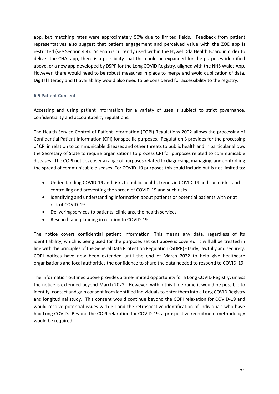app, but matching rates were approximately 50% due to limited fields. Feedback from patient representatives also suggest that patient engagement and perceived value with the ZOE app is restricted (see Section 4.4). Scienap is currently used within the Hywel Dda Health Board in order to deliver the CHAI app, there is a possibility that this could be expanded for the purposes identified above, or a new app developed by DSPP for the Long COVID Registry, aligned with the NHS Wales App. However, there would need to be robust measures in place to merge and avoid duplication of data. Digital literacy and IT availability would also need to be considered for accessibility to the registry.

# **6.5 Patient Consent**

Accessing and using patient information for a variety of uses is subject to strict governance, confidentiality and accountability regulations.

The Health Service Control of Patient Information (COPI) Regulations 2002 allows the processing of Confidential Patient Information (CPI) for specific purposes. Regulation 3 provides for the processing of CPI in relation to communicable diseases and other threats to public health and in particular allows the Secretary of State to require organisations to process CPI for purposes related to communicable diseases. The COPI notices cover a range of purposes related to diagnosing, managing, and controlling the spread of communicable diseases. For COVID-19 purposes this could include but is not limited to:

- Understanding COVID-19 and risks to public health, trends in COVID-19 and such risks, and controlling and preventing the spread of COVID-19 and such risks
- Identifying and understanding information about patients or potential patients with or at risk of COVID-19
- Delivering services to patients, clinicians, the health services
- Research and planning in relation to COVID-19

The notice covers confidential patient information. This means any data, regardless of its identifiability, which is being used for the purposes set out above is covered. It will all be treated in line with the principles of the General Data Protection Regulation (GDPR) - fairly, lawfully and securely. COPI notices have now been extended until the end of March 2022 to help give healthcare organisations and local authorities the confidence to share the data needed to respond to COVID-19.

The information outlined above provides a time-limited opportunity for a Long COVID Registry, unless the notice is extended beyond March 2022. However, within this timeframe it would be possible to identify, contact and gain consent from identified individuals to enter them into a Long COVID Registry and longitudinal study. This consent would continue beyond the COPI relaxation for COVID-19 and would resolve potential issues with PII and the retrospective identification of individuals who have had Long COVID. Beyond the COPI relaxation for COVID-19, a prospective recruitment methodology would be required.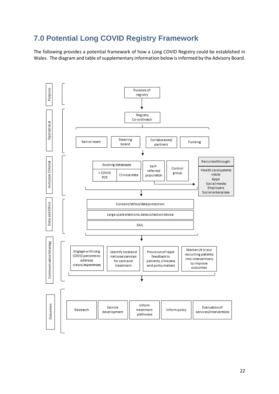# **7.0 Potential Long COVID Registry Framework**

The following provides a potential framework of how a Long COVID Registry could be established in Wales. The diagram and table of supplementary information below is informed by the Advisory Board.

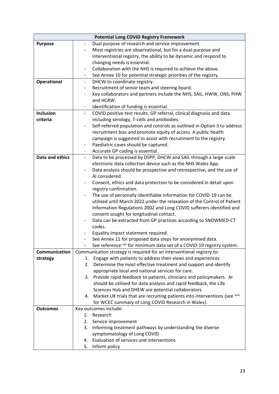<span id="page-22-0"></span>

| <b>Potential Long COVID Registry Framework</b> |                                                                                                   |  |
|------------------------------------------------|---------------------------------------------------------------------------------------------------|--|
| <b>Purpose</b>                                 | Dual purpose of research and service improvement.<br>$\overline{\phantom{0}}$                     |  |
|                                                | Most registries are observational, but for a dual-purpose and                                     |  |
|                                                | interventional registry, the ability to be dynamic and respond to                                 |  |
|                                                | changing needs is essential.                                                                      |  |
|                                                | Collaboration with the NHS is required to achieve the above.<br>$\overline{\phantom{a}}$          |  |
|                                                | See Annex 10 for potential strategic priorities of the registry.                                  |  |
| <b>Operational</b>                             | DHCW to coordinate registry.<br>$\blacksquare$                                                    |  |
|                                                | Recruitment of senior team and steering board.                                                    |  |
|                                                | Key collaborators and partners include the NHS, SAIL, HWW, ONS, PHW                               |  |
|                                                | and HCRW.                                                                                         |  |
|                                                | Identification of funding is essential.<br>۰.                                                     |  |
| <b>Inclusion</b>                               | COVID positive test results, GP referral, clinical diagnosis and data<br>$\overline{\phantom{0}}$ |  |
| criteria                                       | including serology, T-cells and antibodies.                                                       |  |
|                                                | Self-referred population and controls as outlined in Option 3 to address                          |  |
|                                                | recruitment bias and promote equity of access. A public health                                    |  |
|                                                | campaign is suggested to assist with recruitment to the registry.                                 |  |
|                                                | Paediatric cases should be captured.                                                              |  |
|                                                | -                                                                                                 |  |
| Data and ethics                                | Accurate GP coding is essential.                                                                  |  |
|                                                | Data to be processed by DSPP, DHCW and SAIL through a large-scale<br>$\blacksquare$               |  |
|                                                | electronic data collection device such as the NHS Wales App.                                      |  |
|                                                | Data analysis should be prospective and retrospective, and the use of                             |  |
|                                                | AI considered.                                                                                    |  |
|                                                | Consent, ethics and data protection to be considered in detail upon                               |  |
|                                                | registry confirmation.                                                                            |  |
|                                                | The use of personally identifiable information for COVID-19 can be<br>$\overline{\phantom{a}}$    |  |
|                                                | utilised until March 2022 under the relaxation of the Control of Patient                          |  |
|                                                | Information Regulations 2002 and Long COVID sufferers identified and                              |  |
|                                                | consent sought for longitudinal contact.                                                          |  |
|                                                | Data can be extracted from GP practices according to SNOWMED-CT                                   |  |
|                                                | codes.                                                                                            |  |
|                                                | Equality impact statement required.                                                               |  |
|                                                | See Annex 11 for proposed data steps for anonymised data.                                         |  |
|                                                | See reference xvii for minimum data set of a COVID-19 registry system.                            |  |
| Communication                                  | Communication strategy is required for an interventional registry to:                             |  |
| strategy                                       | Engage with patients to address their views and experiences<br>1.                                 |  |
|                                                | Determine the most effective treatment and support and identify<br>2.                             |  |
|                                                | appropriate local and national services for care.                                                 |  |
|                                                | 3. Provide rapid feedback to patients, clinicians and policymakers. Al                            |  |
|                                                | should be utilised for data analysis and rapid feedback, the Life                                 |  |
|                                                | Sciences Hub and DHEW are potential collaborators.                                                |  |
|                                                | 4. Market UK trials that are recruiting patients into interventions (see xviii                    |  |
|                                                | for WCEC summary of Long COVID Research in Wales).                                                |  |
| <b>Outcomes</b>                                | Key outcomes include:                                                                             |  |
|                                                | Research<br>1.                                                                                    |  |
|                                                | 2. Service improvement                                                                            |  |
|                                                | 3. Informing treatment pathways by understanding the diverse                                      |  |
|                                                | symptomatology of Long COVID                                                                      |  |
|                                                | Evaluation of services and interventions<br>4.                                                    |  |
|                                                | 5.<br>Inform policy                                                                               |  |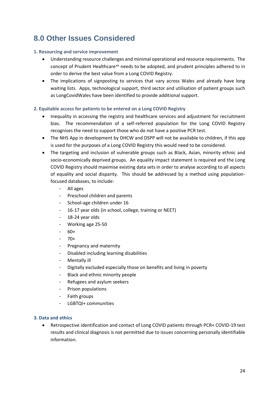# **8.0 Other Issues Considered**

# **1. Resourcing and service improvement**

- Understanding resource challenges and minimal operational and resource requirements. The concept of Prudent Healthcarexix needs to be adopted, and prudent principles adhered to in order to derive the best value from a Long COVID Registry.
- The implications of signposting to services that vary across Wales and already have long waiting lists. Apps, technological support, third sector and utilisation of patient groups such as LongCovidWales have been identified to provide additional support.

# **2. Equitable access for patients to be entered on a Long COVID Registry**

- Inequality in accessing the registry and healthcare services and adjustment for recruitment bias. The recommendation of a self-referred population for the Long COVID Registry recognises the need to support those who do not have a positive PCR test.
- The NHS App in development by DHCW and DSPP will not be available to children, if this app is used for the purposes of a Long COVID Registry this would need to be considered.
- The targeting and inclusion of vulnerable groups such as Black, Asian, minority ethnic and socio-economically deprived groups. An equality impact statement is required and the Long COVID Registry should maximise existing data sets in order to analyse according to all aspects of equality and social disparity. This should be addressed by a method using populationfocused databases, to include:
	- All ages
	- Preschool children and parents
	- School-age children under 16
	- 16-17 year olds (in school, college, training or NEET)
	- 18-24 year olds
	- Working age 25-50
	- $60+$
	- $-70+$
	- Pregnancy and maternity
	- Disabled including learning disabilities
	- Mentally ill
	- Digitally excluded especially those on benefits and living in poverty
	- Black and ethnic minority people
	- Refugees and asylum seekers
	- Prison populations
	- Faith groups
	- LGBTQI+ communities

# **3. Data and ethics**

• Retrospective identification and contact of Long COVID patients through PCR+ COVID-19 test results and clinical diagnosis is not permitted due to issues concerning personally identifiable information.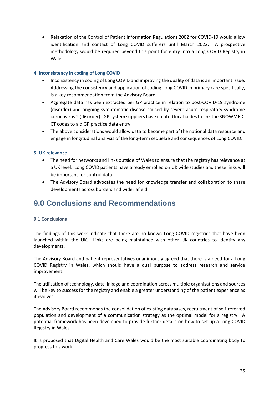• Relaxation of the Control of Patient Information Regulations 2002 for COVID-19 would allow identification and contact of Long COVID sufferers until March 2022. A prospective methodology would be required beyond this point for entry into a Long COVID Registry in Wales.

## **4. Inconsistency in coding of Long COVID**

- Inconsistency in coding of Long COVID and improving the quality of data is an important issue. Addressing the consistency and application of coding Long COVID in primary care specifically, is a key recommendation from the Advisory Board.
- Aggregate data has been extracted per GP practice in relation to post-COVID-19 syndrome (disorder) and ongoing symptomatic disease caused by severe acute respiratory syndrome coronavirus 2 (disorder). GP system suppliers have created local codes to link the SNOWMED-CT codes to aid GP practice data entry.
- The above considerations would allow data to become part of the national data resource and engage in longitudinal analysis of the long-term sequelae and consequences of Long COVID.

### **5. UK relevance**

- The need for networks and links outside of Wales to ensure that the registry has relevance at a UK level. Long COVID patients have already enrolled on UK wide studies and these links will be important for control data.
- The Advisory Board advocates the need for knowledge transfer and collaboration to share developments across borders and wider afield.

# **9.0 Conclusions and Recommendations**

### **9.1 Conclusions**

The findings of this work indicate that there are no known Long COVID registries that have been launched within the UK. Links are being maintained with other UK countries to identify any developments.

The Advisory Board and patient representatives unanimously agreed that there is a need for a Long COVID Registry in Wales, which should have a dual purpose to address research and service improvement.

The utilisation of technology, data linkage and coordination across multiple organisations and sources will be key to success for the registry and enable a greater understanding of the patient experience as it evolves.

The Advisory Board recommends the consolidation of existing databases, recruitment of self-referred population and development of a communication strategy as the optimal model for a registry. A potential framework has been developed to provide further details on how to set up a Long COVID Registry in Wales.

It is proposed that Digital Health and Care Wales would be the most suitable coordinating body to progress this work.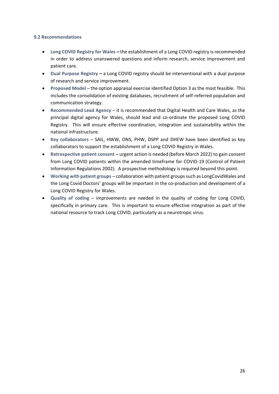### **9.2 Recommendations**

- **Long COVID Registry for Wales –** the establishment of a Long COVID registry is recommended in order to address unanswered questions and inform research, service improvement and patient care.
- **Dual Purpose Registry –** a Long COVID registry should be interventional with a dual purpose of research and service improvement.
- **Proposed Model** the option appraisal exercise identified Option 3 as the most feasible. This includes the consolidation of existing databases, recruitment of self-referred population and communication strategy.
- **Recommended Lead Agency** it is recommended that Digital Health and Care Wales, as the principal digital agency for Wales, should lead and co-ordinate the proposed Long COVID Registry. This will ensure effective coordination, integration and sustainability within the national infrastructure.
- **Key collaborators**  SAIL, HWW, ONS, PHW, DSPP and DHEW have been identified as key collaborators to support the establishment of a Long COVID Registry in Wales.
- **Retrospective patient consent** urgent action is needed (before March 2022) to gain consent from Long COVID patients within the amended timeframe for COVID-19 (Control of Patient Information Regulations 2002). A prospective methodology is required beyond this point.
- **Working with patient groups** collaboration with patient groups such as LongCovidWales and the Long Covid Doctors' groups will be important in the co-production and development of a Long COVID Registry for Wales.
- **Quality of coding**  improvements are needed in the quality of coding for Long COVID, specifically in primary care. This is important to ensure effective integration as part of the national resource to track Long COVID, particularly as a neurotropic virus.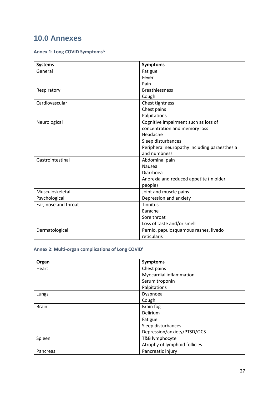# **10.0 Annexes**

# **Annex 1: Long COVID Symptoms[iv](#page-7-0)**

| <b>Systems</b>       | <b>Symptoms</b>                              |
|----------------------|----------------------------------------------|
| General              | Fatigue                                      |
|                      | Fever                                        |
|                      | Pain                                         |
| Respiratory          | <b>Breathlessness</b>                        |
|                      | Cough                                        |
| Cardiovascular       | Chest tightness                              |
|                      | Chest pains                                  |
|                      | Palpitations                                 |
| Neurological         | Cognitive impairment such as loss of         |
|                      | concentration and memory loss                |
|                      | Headache                                     |
|                      | Sleep disturbances                           |
|                      | Peripheral neuropathy including paraesthesia |
|                      | and numbness                                 |
| Gastrointestinal     | Abdominal pain                               |
|                      | Nausea                                       |
|                      | Diarrhoea                                    |
|                      | Anorexia and reduced appetite (in older      |
|                      | people)                                      |
| Musculoskeletal      | Joint and muscle pains                       |
| Psychological        | Depression and anxiety                       |
| Ear, nose and throat | <b>Tinnitus</b>                              |
|                      | Earache                                      |
|                      | Sore throat                                  |
|                      | Loss of taste and/or smell                   |
| Dermatological       | Pernio, papulosquamous rashes, livedo        |
|                      | reticularis                                  |

# **Annex 2: Multi-organ complications of Long COVI[D](#page-6-0)<sup>i</sup>**

| Organ        | <b>Symptoms</b>               |
|--------------|-------------------------------|
| Heart        | Chest pains                   |
|              | Myocardial inflammation       |
|              | Serum troponin                |
|              | Palpitations                  |
| Lungs        | Dyspnoea                      |
|              | Cough                         |
| <b>Brain</b> | Brain fog                     |
|              | <b>Delirium</b>               |
|              | Fatigue                       |
|              | Sleep disturbances            |
|              | Depression/anxiety/PTSD/OCS   |
| Spleen       | T&B lymphocyte                |
|              | Atrophy of lymphoid follicles |
| Pancreas     | Pancreatic injury             |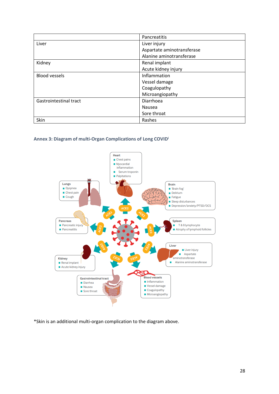|                               | Pancreatitis               |
|-------------------------------|----------------------------|
| Liver                         | Liver injury               |
|                               | Aspartate aminotransferase |
|                               | Alanine aminotransferase   |
| Kidney                        | Renal implant              |
|                               | Acute kidney injury        |
| <b>Blood vessels</b>          | Inflammation               |
|                               | Vessel damage              |
|                               | Coagulopathy               |
|                               | Microangiopathy            |
| <b>Gastrointestinal tract</b> | Diarrhoea                  |
|                               | Nausea                     |
|                               | Sore throat                |
| Skin                          | Rashes                     |

# **Annex 3: Diagram of multi-Organ Complications of Long COVI[D](#page-6-0)<sup>i</sup>**



\*Skin is an additional multi-organ complication to the diagram above.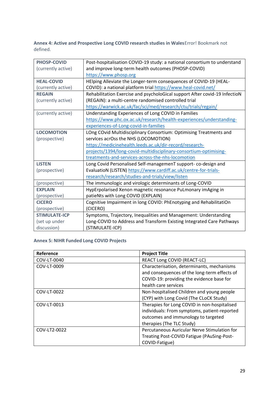**Annex 4: Active and Prospective Long COVID research studies in Wales**Error! Bookmark not defined.

| <b>PHOSP-COVID</b>   | Post-hospitalisation COVID-19 study: a national consortium to understand   |
|----------------------|----------------------------------------------------------------------------|
| (currently active)   | and improve long-term health outcomes (PHOSP-COVID)                        |
|                      | https://www.phosp.org                                                      |
| <b>HEAL-COVID</b>    | HElping Alleviate the Longer-term consequences of COVID-19 (HEAL-          |
| (currently active)   | COVID): a national platform trial https://www.heal-covid.net/              |
| <b>REGAIN</b>        | Rehabilitation Exercise and psycholoGical support After covid-19 InfectioN |
| (currently active)   | (REGAIN): a multi-centre randomised controlled trial                       |
|                      | https://warwick.ac.uk/fac/sci/med/research/ctu/trials/regain/              |
| (currently active)   | Understanding Experiences of Long COVID in Families                        |
|                      | https://www.phc.ox.ac.uk/research/health-experiences/understanding-        |
|                      | experiences-of-Long-covid-in-families                                      |
| <b>LOCOMOTION</b>    | LOng COvid Multidisciplinary Consortium: Optimising Treatments and         |
| (prospective)        | services acrOss the NHS (LOCOMOTION)                                       |
|                      | https://medicinehealth.leeds.ac.uk/dir-record/research-                    |
|                      | projects/1394/long-covid-multidisciplinary-consortium-optimising-          |
|                      | treatments-and-services-across-the-nhs-locomotion                          |
| <b>LISTEN</b>        | Long Covid Personalised Self-managemenT support- co-design and             |
| (prospective)        | EvaluatioN (LISTEN) https://www.cardiff.ac.uk/centre-for-trials-           |
|                      | research/research/studies-and-trials/view/listen                           |
| (prospective)        | The immunologic and virologic determinants of Long-COVID                   |
| <b>EXPLAIN</b>       | HypErpolarised Xenon magnetic resonance PuLmonary imAging in               |
| (prospective)        | patieNts with Long COVID (EXPLAIN)                                         |
| <b>CICERO</b>        | Cognitive Impairment in long COVID: PhEnotyping and RehabilitatiOn         |
| (prospective)        | (CICERO)                                                                   |
| <b>STIMULATE-ICP</b> | Symptoms, Trajectory, Inequalities and Management: Understanding           |
| (set up under        | Long-COVID to Address and Transform Existing Integrated Care Pathways      |
| discussion)          | (STIMULATE-ICP)                                                            |

# **Annex 5: NIHR Funded Long COVID Projects**

| Reference    | <b>Project Title</b>                         |
|--------------|----------------------------------------------|
| COV-LT-0040  | REACT Long COVID (REACT-LC)                  |
| COV-LT-0009  | Characterisation, determinants, mechanisms   |
|              | and consequences of the long-term effects of |
|              | COVID-19: providing the evidence base for    |
|              | health care services                         |
| COV-LT-0022  | Non-hospitalised Children and young people   |
|              | (CYP) with Long Covid (The CLoCK Study)      |
| COV-LT-0013  | Therapies for Long COVID in non-hospitalised |
|              | individuals: From symptoms, patient-reported |
|              | outcomes and immunology to targeted          |
|              | therapies (The TLC Study)                    |
| COV-LT2-0022 | Percutaneous Auricular Nerve Stimulation for |
|              | Treating Post-COVID Fatigue (PAuSing-Post-   |
|              | COVID-Fatigue)                               |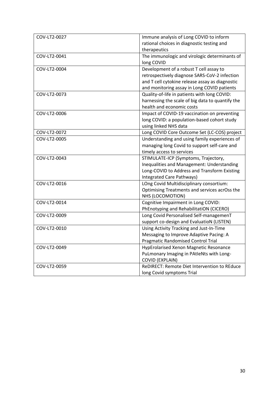| COV-LT2-0027 | Immune analysis of Long COVID to inform          |
|--------------|--------------------------------------------------|
|              | rational choices in diagnostic testing and       |
|              | therapeutics                                     |
| COV-LT2-0041 | The immunologic and virologic determinants of    |
|              | long COVID                                       |
| COV-LT2-0004 | Development of a robust T cell assay to          |
|              | retrospectively diagnose SARS-CoV-2 infection    |
|              | and T cell cytokine release assay as diagnostic  |
|              | and monitoring assay in Long COVID patients      |
| COV-LT2-0073 | Quality-of-life in patients with long COVID:     |
|              | harnessing the scale of big data to quantify the |
|              | health and economic costs                        |
| COV-LT2-0006 | Impact of COVID-19 vaccination on preventing     |
|              | long COVID: a population-based cohort study      |
|              | using linked NHS data                            |
| COV-LT2-0072 | Long COVID Core Outcome Set (LC-COS) project     |
| COV-LT2-0005 | Understanding and using family experiences of    |
|              | managing long Covid to support self-care and     |
|              | timely access to services                        |
| COV-LT2-0043 | STIMULATE-ICP (Symptoms, Trajectory,             |
|              | Inequalities and Management: Understanding       |
|              | Long-COVID to Address and Transform Existing     |
|              | Integrated Care Pathways)                        |
| COV-LT2-0016 | LOng Covid Multidisciplinary consortium:         |
|              | Optimising Treatments and services acrOss the    |
|              | NHS (LOCOMOTION)                                 |
| COV-LT2-0014 | Cognitive Impairment in Long COVID:              |
|              | PhEnotyping and RehabilitatiON (CICERO)          |
| COV-LT2-0009 | Long Covid Personalised Self-managemenT          |
|              | support co-design and EvaluatioN (LISTEN)        |
| COV-LT2-0010 | Using Activity Tracking and Just-In-Time         |
|              | Messaging to Improve Adaptive Pacing: A          |
|              | <b>Pragmatic Randomised Control Trial</b>        |
| COV-LT2-0049 | HypErolarised Xenon Magnetic Resonance           |
|              | PuLmonary Imaging in PAtleNts with Long-         |
|              | <b>COVID (EXPLAIN)</b>                           |
| COV-LT2-0059 | ReDIRECT: Remote Diet Intervention to REduce     |
|              | long Covid symptoms Trial                        |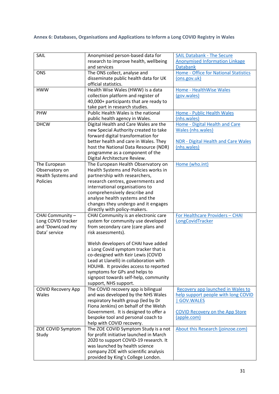# **Annex 6: Databases, Organisations and Applications to Inform a Long COVID Registry in Wales**

| SAIL                      | Anonymised person-based data for                                  | <b>SAIL Databank - The Secure</b>          |
|---------------------------|-------------------------------------------------------------------|--------------------------------------------|
|                           | research to improve health, wellbeing                             | <b>Anonymised Information Linkage</b>      |
|                           | and services                                                      | <b>Databank</b>                            |
| <b>ONS</b>                | The ONS collect, analyse and                                      | Home - Office for National Statistics      |
|                           | disseminate public health data for UK                             | (ons.gov.uk)                               |
|                           | official statistics.                                              |                                            |
| <b>HWW</b>                | Health Wise Wales (HWW) is a data                                 | Home - HealthWise Wales                    |
|                           | collection platform and register of                               | (gov.wales)                                |
|                           | 40,000+ participants that are ready to                            |                                            |
|                           | take part in research studies.                                    |                                            |
| PHW                       | Public Health Wales is the national                               | Home - Public Health Wales                 |
|                           | public health agency in Wales.                                    | (nhs.wales)                                |
| <b>DHCW</b>               | Digital Health and Care Wales are the                             | Home - Digital Health and Care             |
|                           | new Special Authority created to take                             | Wales (nhs.wales)                          |
|                           | forward digital transformation for                                |                                            |
|                           | better health and care in Wales. They                             | <b>NDR - Digital Health and Care Wales</b> |
|                           | host the National Data Resource (NDR)                             | (nhs.wales)                                |
|                           | programme as a component of the                                   |                                            |
|                           | Digital Architecture Review.                                      |                                            |
| The European              | The European Health Observatory on                                | Home (who.int)                             |
| Observatory on            | Health Systems and Policies works in                              |                                            |
| Health Systems and        | partnership with researchers,                                     |                                            |
| <b>Policies</b>           | research centres, governments and                                 |                                            |
|                           | international organisations to                                    |                                            |
|                           | comprehensively describe and                                      |                                            |
|                           | analyse health systems and the                                    |                                            |
|                           | changes they undergo and it engages                               |                                            |
|                           | directly with policy-makers.                                      |                                            |
| CHAI Community -          | CHAI Community is an electronic care                              | For Healthcare Providers - CHAI            |
| Long COVID tracker        | system for community use developed                                | LongCovidTracker                           |
| and 'DownLoad my          | from secondary care (care plans and                               |                                            |
| Data' service             | risk assessments).                                                |                                            |
|                           |                                                                   |                                            |
|                           | Welsh developers of CHAI have added                               |                                            |
|                           | a Long Covid symptom tracker that is                              |                                            |
|                           | co-designed with Keir Lewis (COVID                                |                                            |
|                           | Lead at Llanelli) in collaboration with                           |                                            |
|                           | HDUHB. It provides access to reported                             |                                            |
|                           | symptoms for GPs and helps to                                     |                                            |
|                           | signpost towards self-help, community                             |                                            |
|                           | support, NHS support.                                             |                                            |
| <b>COVID Recovery App</b> | The COVID recovery app is bilingual                               | Recovery app launched in Wales to          |
| Wales                     | and was developed by the NHS Wales                                | help support people with long COVID        |
|                           | respiratory health group (led by Dr                               | GOV.WALES                                  |
|                           | Fiona Jenkins) on behalf of the Welsh                             |                                            |
|                           | Government. It is designed to offer a                             | <b>COVID Recovery on the App Store</b>     |
|                           | bespoke tool and personal coach to                                | (apple.com)                                |
| ZOE COVID Symptom         | help with COVID recovery.<br>The ZOE COVID Symptom Study is a not | About this Research (joinzoe.com)          |
| Study                     | for profit initiative launched in March                           |                                            |
|                           | 2020 to support COVID-19 research. It                             |                                            |
|                           | was launched by health science                                    |                                            |
|                           | company ZOE with scientific analysis                              |                                            |
|                           | provided by King's College London.                                |                                            |
|                           |                                                                   |                                            |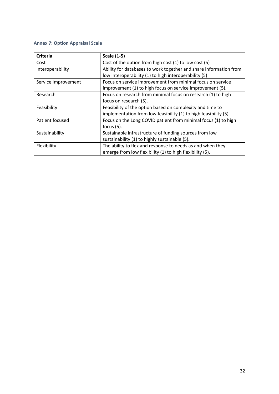# **Annex 7: Option Appraisal Scale**

| <b>Criteria</b>     | <b>Scale (1-5)</b>                                                |
|---------------------|-------------------------------------------------------------------|
| Cost                | Cost of the option from high cost (1) to low cost (5)             |
| Interoperability    | Ability for databases to work together and share information from |
|                     | low interoperability (1) to high interoperability (5)             |
| Service Improvement | Focus on service improvement from minimal focus on service        |
|                     | improvement (1) to high focus on service improvement (5).         |
| Research            | Focus on research from minimal focus on research (1) to high      |
|                     | focus on research (5).                                            |
| Feasibility         | Feasibility of the option based on complexity and time to         |
|                     | implementation from low feasibility (1) to high feasibility (5).  |
| Patient focused     | Focus on the Long COVID patient from minimal focus (1) to high    |
|                     | focus $(5)$ .                                                     |
| Sustainability      | Sustainable infrastructure of funding sources from low            |
|                     | sustainability (1) to highly sustainable (5).                     |
| Flexibility         | The ability to flex and response to needs as and when they        |
|                     | emerge from low flexibility (1) to high flexibility (5).          |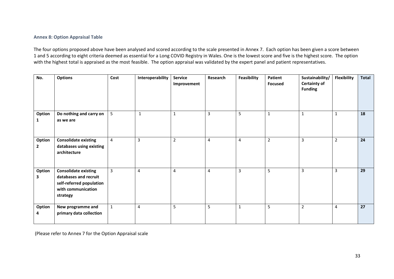## **Annex 8: Option Appraisal Table**

The four options proposed above have been analysed and scored according to the scale presented in Annex 7. Each option has been given a score between 1 and 5 according to eight criteria deemed as essential for a Long COVID Registry in Wales. One is the lowest score and five is the highest score. The option with the highest total is appraised as the most feasible. The option appraisal was validated by the expert panel and patient representatives.

| No.                      | <b>Options</b>                                                                                                     | Cost         | Interoperability | <b>Service</b><br>Improvement | Research       | Feasibility             | Patient<br><b>Focused</b> | Sustainability/<br><b>Certainty of</b><br><b>Funding</b> | <b>Flexibility</b> | Total |
|--------------------------|--------------------------------------------------------------------------------------------------------------------|--------------|------------------|-------------------------------|----------------|-------------------------|---------------------------|----------------------------------------------------------|--------------------|-------|
| Option<br>$\mathbf{1}$   | Do nothing and carry on<br>as we are                                                                               | 5            | $\mathbf{1}$     | 1                             | $\overline{3}$ | $5\phantom{.0}$         | $\mathbf{1}$              | 1                                                        | $\mathbf{1}$       | 18    |
| Option<br>$\overline{2}$ | <b>Consolidate existing</b><br>databases using existing<br>architecture                                            | 4            | 3                | $\overline{2}$                | 4              | $\overline{\mathbf{4}}$ | $\overline{2}$            | 3                                                        | $\overline{2}$     | 24    |
| Option<br>3              | <b>Consolidate existing</b><br>databases and recruit<br>self-referred population<br>with communication<br>strategy | 3            | 4                | 4                             | 4              | $\overline{3}$          | 5                         | 3                                                        | 3                  | 29    |
| Option<br>4              | New programme and<br>primary data collection                                                                       | $\mathbf{1}$ | 4                | 5                             | 5              | $\mathbf{1}$            | 5                         | $\overline{2}$                                           | 4                  | 27    |

(Please refer to Annex 7 for the Option Appraisal scale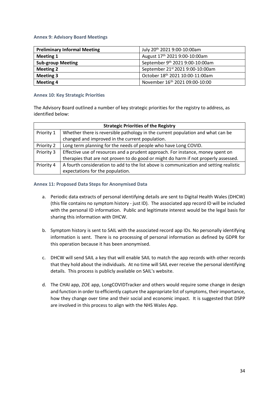### **Annex 9: Advisory Board Meetings**

| <b>Preliminary Informal Meeting</b> | July 20 <sup>th</sup> 2021 9:00-10:00am |  |  |  |
|-------------------------------------|-----------------------------------------|--|--|--|
| <b>Meeting 1</b>                    | August 17th 2021 9:00-10:00am           |  |  |  |
| <b>Sub-group Meeting</b>            | September 9th 2021 9:00-10:00am         |  |  |  |
| <b>Meeting 2</b>                    | September 21st 2021 9:00-10:00am        |  |  |  |
| <b>Meeting 3</b>                    | October 18th 2021 10:00-11:00am         |  |  |  |
| <b>Meeting 4</b>                    | November 16th 2021 09:00-10:00          |  |  |  |

### **Annex 10: Key Strategic Priorities**

The Advisory Board outlined a number of key strategic priorities for the registry to address, as identified below:

| <b>Strategic Priorities of the Registry</b> |                                                                                        |  |  |  |  |
|---------------------------------------------|----------------------------------------------------------------------------------------|--|--|--|--|
| Priority 1                                  | Whether there is reversible pathology in the current population and what can be        |  |  |  |  |
|                                             | changed and improved in the current population.                                        |  |  |  |  |
| Priority 2                                  | Long term planning for the needs of people who have Long COVID.                        |  |  |  |  |
| Priority 3                                  | Effective use of resources and a prudent approach. For instance, money spent on        |  |  |  |  |
|                                             | therapies that are not proven to do good or might do harm if not properly assessed.    |  |  |  |  |
| Priority 4                                  | A fourth consideration to add to the list above is communication and setting realistic |  |  |  |  |
|                                             | expectations for the population.                                                       |  |  |  |  |

### **Annex 11: Proposed Data Steps for Anonymised Data**

- a. Periodic data extracts of personal identifying details are sent to Digital Health Wales (DHCW) (this file contains no symptom history - just ID). The associated app record ID will be included with the personal ID information. Public and legitimate interest would be the legal basis for sharing this information with DHCW.
- b. Symptom history is sent to SAIL with the associated record app IDs. No personally identifying information is sent. There is no processing of personal information as defined by GDPR for this operation because it has been anonymised.
- c. DHCW will send SAIL a key that will enable SAIL to match the app records with other records that they hold about the individuals. At no time will SAIL ever receive the personal identifying details. This process is publicly available on SAIL's website.
- d. The CHAI app, ZOE app, LongCOVIDTracker and others would require some change in design and function in order to efficiently capture the appropriate list of symptoms, their importance, how they change over time and their social and economic impact. It is suggested that DSPP are involved in this process to align with the NHS Wales App.